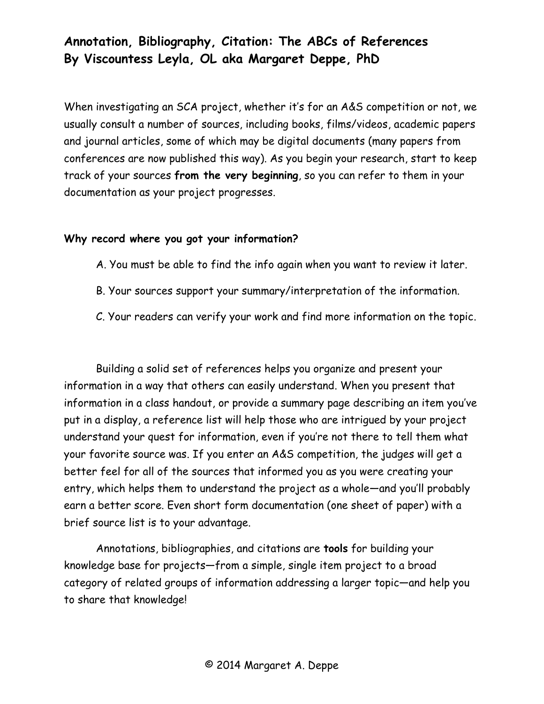# **Annotation, Bibliography, Citation: The ABCs of References By Viscountess Leyla, OL aka Margaret Deppe, PhD**

When investigating an SCA project, whether it's for an A&S competition or not, we usually consult a number of sources, including books, films/videos, academic papers and journal articles, some of which may be digital documents (many papers from conferences are now published this way). As you begin your research, start to keep track of your sources **from the very beginning**, so you can refer to them in your documentation as your project progresses.

# **Why record where you got your information?**

- A. You must be able to find the info again when you want to review it later.
- B. Your sources support your summary/interpretation of the information.
- C. Your readers can verify your work and find more information on the topic.

Building a solid set of references helps you organize and present your information in a way that others can easily understand. When you present that information in a class handout, or provide a summary page describing an item you've put in a display, a reference list will help those who are intrigued by your project understand your quest for information, even if you're not there to tell them what your favorite source was. If you enter an A&S competition, the judges will get a better feel for all of the sources that informed you as you were creating your entry, which helps them to understand the project as a whole—and you'll probably earn a better score. Even short form documentation (one sheet of paper) with a brief source list is to your advantage.

Annotations, bibliographies, and citations are **tools** for building your knowledge base for projects—from a simple, single item project to a broad category of related groups of information addressing a larger topic—and help you to share that knowledge!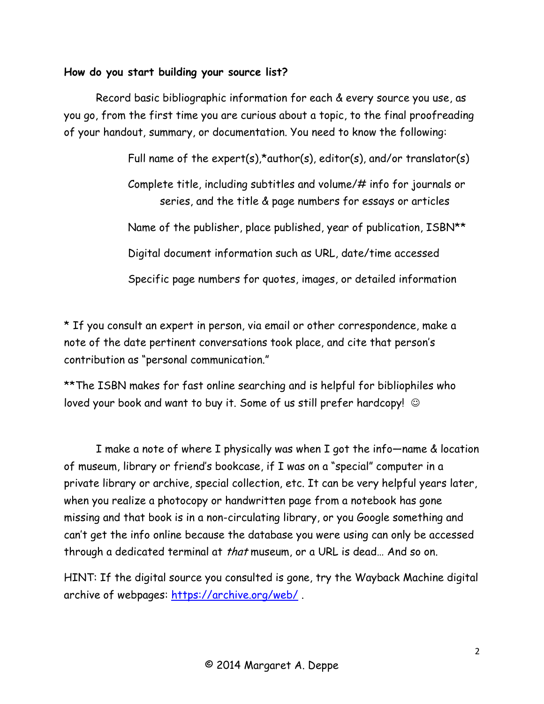# **How do you start building your source list?**

Record basic bibliographic information for each & every source you use, as you go, from the first time you are curious about a topic, to the final proofreading of your handout, summary, or documentation. You need to know the following:

Full name of the expert(s),\*author(s), editor(s), and/or translator(s)

Complete title, including subtitles and volume/# info for journals or series, and the title & page numbers for essays or articles

Name of the publisher, place published, year of publication, ISBN\*\*

Digital document information such as URL, date/time accessed

Specific page numbers for quotes, images, or detailed information

\* If you consult an expert in person, via email or other correspondence, make a note of the date pertinent conversations took place, and cite that person's contribution as "personal communication."

\*\*The ISBN makes for fast online searching and is helpful for bibliophiles who loved your book and want to buy it. Some of us still prefer hardcopy!  $\odot$ 

I make a note of where I physically was when I got the info—name & location of museum, library or friend's bookcase, if I was on a "special" computer in a private library or archive, special collection, etc. It can be very helpful years later, when you realize a photocopy or handwritten page from a notebook has gone missing and that book is in a non-circulating library, or you Google something and can't get the info online because the database you were using can only be accessed through a dedicated terminal at that museum, or a URL is dead… And so on.

HINT: If the digital source you consulted is gone, try the Wayback Machine digital archive of webpages:<https://archive.org/web/> .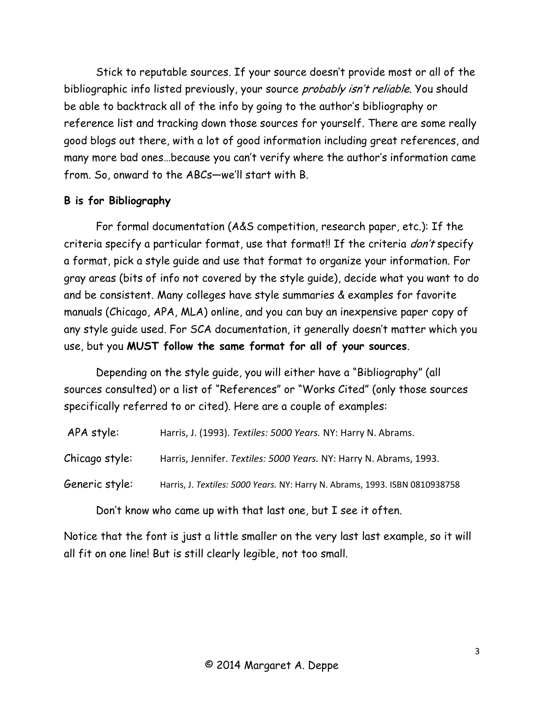Stick to reputable sources. If your source doesn't provide most or all of the bibliographic info listed previously, your source *probably isn't reliable*. You should be able to backtrack all of the info by going to the author's bibliography or reference list and tracking down those sources for yourself. There are some really good blogs out there, with a lot of good information including great references, and many more bad ones…because you can't verify where the author's information came from. So, onward to the ABCs—we'll start with B.

## **B is for Bibliography**

For formal documentation (A&S competition, research paper, etc.): If the criteria specify a particular format, use that format!! If the criteria *don't* specify a format, pick a style guide and use that format to organize your information. For gray areas (bits of info not covered by the style guide), decide what you want to do and be consistent. Many colleges have style summaries & examples for favorite manuals (Chicago, APA, MLA) online, and you can buy an inexpensive paper copy of any style guide used. For SCA documentation, it generally doesn't matter which you use, but you **MUST follow the same format for all of your sources**.

Depending on the style guide, you will either have a "Bibliography" (all sources consulted) or a list of "References" or "Works Cited" (only those sources specifically referred to or cited). Here are a couple of examples:

| Harris, Jennifer. Textiles: 5000 Years. NY: Harry N. Abrams, 1993.          |
|-----------------------------------------------------------------------------|
| Harris, J. Textiles: 5000 Years. NY: Harry N. Abrams, 1993. ISBN 0810938758 |
|                                                                             |

Don't know who came up with that last one, but I see it often.

Notice that the font is just a little smaller on the very last last example, so it will all fit on one line! But is still clearly legible, not too small.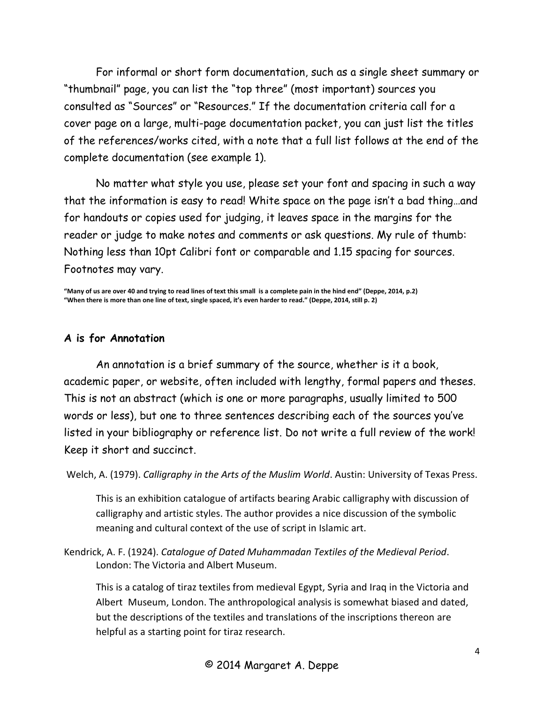For informal or short form documentation, such as a single sheet summary or "thumbnail" page, you can list the "top three" (most important) sources you consulted as "Sources" or "Resources." If the documentation criteria call for a cover page on a large, multi-page documentation packet, you can just list the titles of the references/works cited, with a note that a full list follows at the end of the complete documentation (see example 1).

No matter what style you use, please set your font and spacing in such a way that the information is easy to read! White space on the page isn't a bad thing…and for handouts or copies used for judging, it leaves space in the margins for the reader or judge to make notes and comments or ask questions. My rule of thumb: Nothing less than 10pt Calibri font or comparable and 1.15 spacing for sources. Footnotes may vary.

**"Many of us are over 40 and trying to read lines of text this small is a complete pain in the hind end" (Deppe, 2014, p.2) "When there is more than one line of text, single spaced, it's even harder to read." (Deppe, 2014, still p. 2)**

#### **A is for Annotation**

An annotation is a brief summary of the source, whether is it a book, academic paper, or website, often included with lengthy, formal papers and theses. This is not an abstract (which is one or more paragraphs, usually limited to 500 words or less), but one to three sentences describing each of the sources you've listed in your bibliography or reference list. Do not write a full review of the work! Keep it short and succinct.

Welch, A. (1979). *Calligraphy in the Arts of the Muslim World*. Austin: University of Texas Press.

This is an exhibition catalogue of artifacts bearing Arabic calligraphy with discussion of calligraphy and artistic styles. The author provides a nice discussion of the symbolic meaning and cultural context of the use of script in Islamic art.

Kendrick, A. F. (1924). *Catalogue of Dated Muhammadan Textiles of the Medieval Period*. London: The Victoria and Albert Museum.

This is a catalog of tiraz textiles from medieval Egypt, Syria and Iraq in the Victoria and Albert Museum, London. The anthropological analysis is somewhat biased and dated, but the descriptions of the textiles and translations of the inscriptions thereon are helpful as a starting point for tiraz research.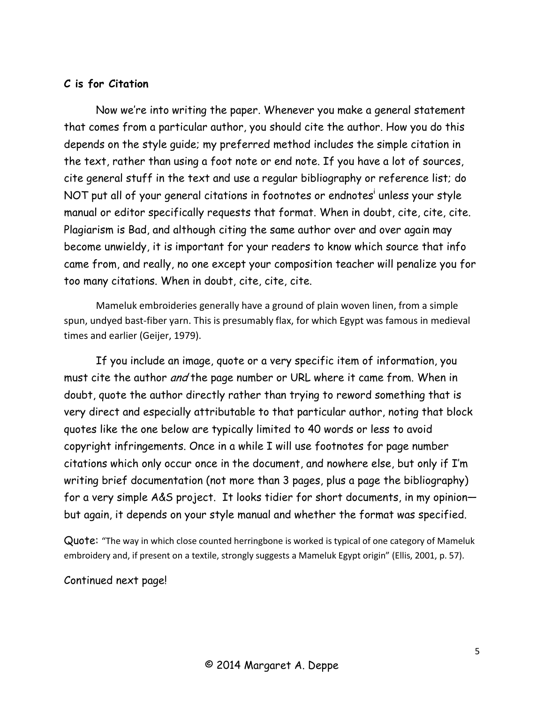## **C is for Citation**

Now we're into writing the paper. Whenever you make a general statement that comes from a particular author, you should cite the author. How you do this depends on the style guide; my preferred method includes the simple citation in the text, rather than using a foot note or end note. If you have a lot of sources, cite general stuff in the text and use a regular bibliography or reference list; do NOT put all of your general citations in footnotes or endnotes<sup>i</sup> unless your style manual or editor specifically requests that format. When in doubt, cite, cite, cite. Plagiarism is Bad, and although citing the same author over and over again may become unwieldy, it is important for your readers to know which source that info came from, and really, no one except your composition teacher will penalize you for too many citations. When in doubt, cite, cite, cite.

Mameluk embroideries generally have a ground of plain woven linen, from a simple spun, undyed bast-fiber yarn. This is presumably flax, for which Egypt was famous in medieval times and earlier (Geijer, 1979).

If you include an image, quote or a very specific item of information, you must cite the author *and* the page number or URL where it came from. When in doubt, quote the author directly rather than trying to reword something that is very direct and especially attributable to that particular author, noting that block quotes like the one below are typically limited to 40 words or less to avoid copyright infringements. Once in a while I will use footnotes for page number citations which only occur once in the document, and nowhere else, but only if I'm writing brief documentation (not more than 3 pages, plus a page the bibliography) for a very simple A&S project. It looks tidier for short documents, in my opinion but again, it depends on your style manual and whether the format was specified.

Quote: "The way in which close counted herringbone is worked is typical of one category of Mameluk embroidery and, if present on a textile, strongly suggests a Mameluk Egypt origin" (Ellis, 2001, p. 57).

Continued next page!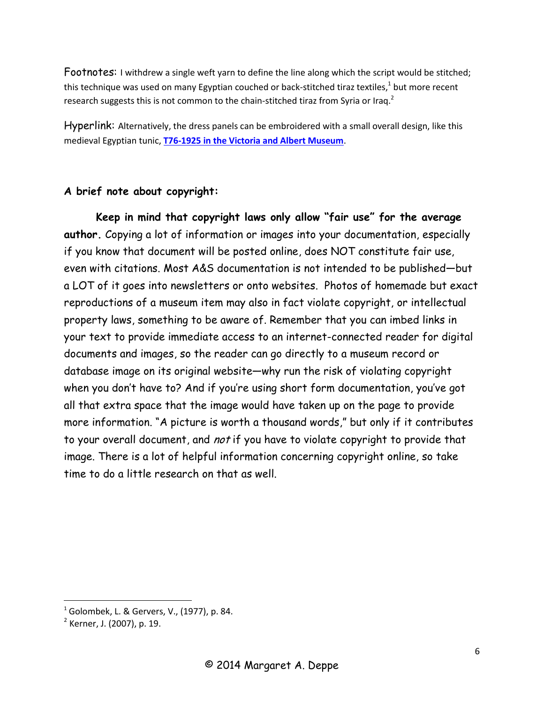Footnotes: I withdrew a single weft yarn to define the line along which the script would be stitched; this technique was used on many Egyptian couched or back-stitched tiraz textiles, $^{1}$  but more recent research suggests this is not common to the chain-stitched tiraz from Syria or Iraq.<sup>2</sup>

Hyperlink: Alternatively, the dress panels can be embroidered with a small overall design, like this medieval Egyptian tunic, **T76-1925 [in the Victoria and Albert Museum](http://collections.vam.ac.uk/item/O358794/tunic/)**.

#### **A brief note about copyright:**

**Keep in mind that copyright laws only allow "fair use" for the average author.** Copying a lot of information or images into your documentation, especially if you know that document will be posted online, does NOT constitute fair use, even with citations. Most A&S documentation is not intended to be published—but a LOT of it goes into newsletters or onto websites. Photos of homemade but exact reproductions of a museum item may also in fact violate copyright, or intellectual property laws, something to be aware of. Remember that you can imbed links in your text to provide immediate access to an internet-connected reader for digital documents and images, so the reader can go directly to a museum record or database image on its original website—why run the risk of violating copyright when you don't have to? And if you're using short form documentation, you've got all that extra space that the image would have taken up on the page to provide more information. "A picture is worth a thousand words," but only if it contributes to your overall document, and not if you have to violate copyright to provide that image. There is a lot of helpful information concerning copyright online, so take time to do a little research on that as well.

 $\overline{\phantom{a}}$ 

 $1$  Golombek, L. & Gervers, V., (1977), p. 84.

<sup>&</sup>lt;sup>2</sup> Kerner, J. (2007), p. 19.